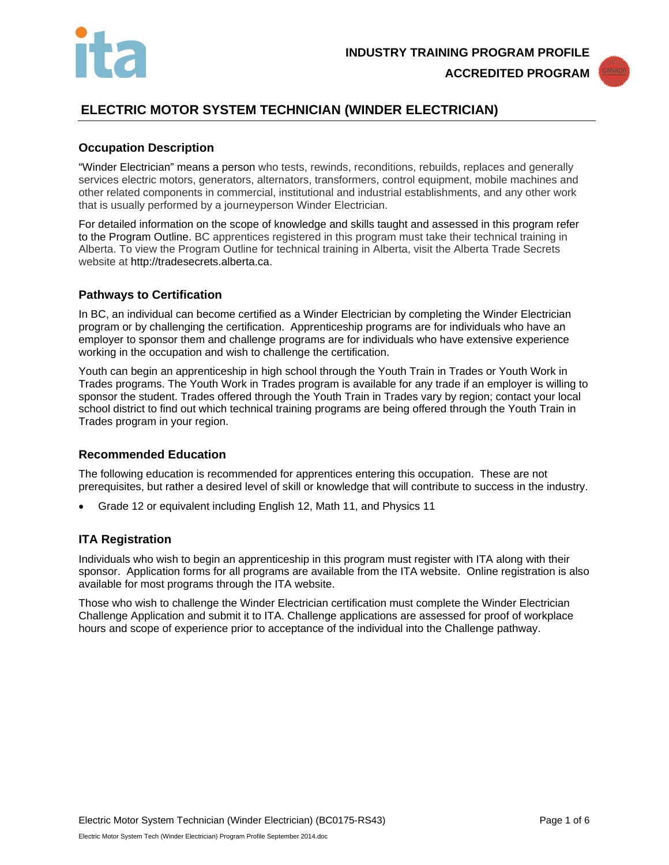



# **ELECTRIC MOTOR SYSTEM TECHNICIAN (WINDER ELECTRICIAN)**

# **Occupation Description**

"Winder Electrician" means a person who tests, rewinds, reconditions, rebuilds, replaces and generally services electric motors, generators, alternators, transformers, control equipment, mobile machines and other related components in commercial, institutional and industrial establishments, and any other work that is usually performed by a journeyperson Winder Electrician.

For detailed information on the scope of knowledge and skills taught and assessed in this program refer to the Program Outline. BC apprentices registered in this program must take their technical training in Alberta. To view the Program Outline for technical training in Alberta, visit the Alberta Trade Secrets website at http://tradesecrets.alberta.ca.

## **Pathways to Certification**

In BC, an individual can become certified as a Winder Electrician by completing the Winder Electrician program or by challenging the certification. Apprenticeship programs are for individuals who have an employer to sponsor them and challenge programs are for individuals who have extensive experience working in the occupation and wish to challenge the certification.

Youth can begin an apprenticeship in high school through the Youth Train in Trades or Youth Work in Trades programs. The Youth Work in Trades program is available for any trade if an employer is willing to sponsor the student. Trades offered through the Youth Train in Trades vary by region; contact your local school district to find out which technical training programs are being offered through the Youth Train in Trades program in your region.

### **Recommended Education**

The following education is recommended for apprentices entering this occupation. These are not prerequisites, but rather a desired level of skill or knowledge that will contribute to success in the industry.

• Grade 12 or equivalent including English 12, Math 11, and Physics 11

### **ITA Registration**

Individuals who wish to begin an apprenticeship in this program must register with ITA along with their sponsor. Application forms for all programs are available from the ITA website. Online registration is also available for most programs through the ITA website.

Those who wish to challenge the Winder Electrician certification must complete the Winder Electrician Challenge Application and submit it to ITA. Challenge applications are assessed for proof of workplace hours and scope of experience prior to acceptance of the individual into the Challenge pathway.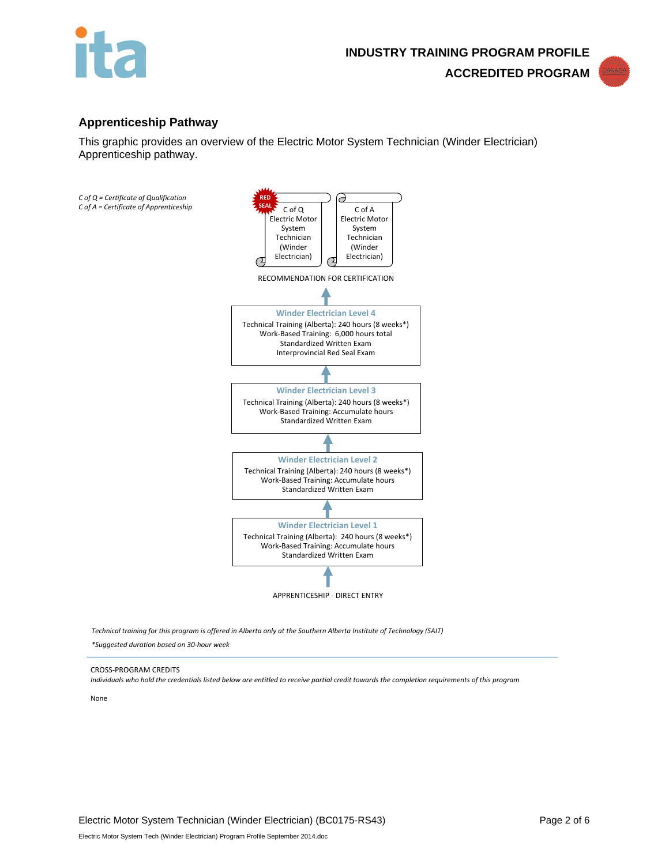



## **Apprenticeship Pathway**

This graphic provides an overview of the Electric Motor System Technician (Winder Electrician) Apprenticeship pathway.



*Technical training for this program is offered in Alberta only at the Southern Alberta Institute of Technology (SAIT)* 

*\*Suggested duration based on 30-hour week*

#### CROSS-PROGRAM CREDITS

*Individuals who hold the credentials listed below are entitled to receive partial credit towards the completion requirements of this program*

None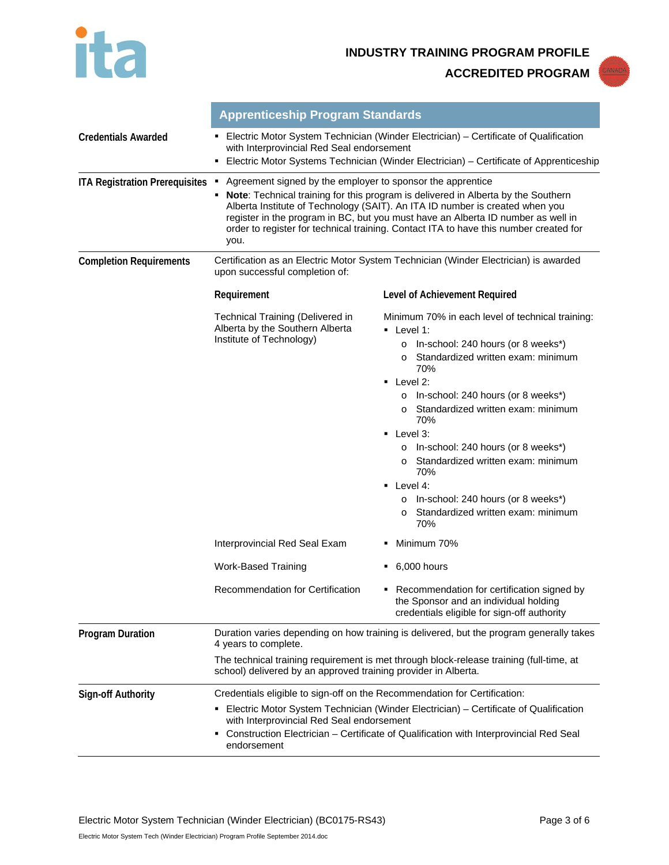

**INDUSTRY TRAINING PROGRAM PROFILE ACCREDITED PROGRAM**

|                                       | <b>Apprenticeship Program Standards</b>                                                                                                                                                                                                                                                                                                                                                                                     |                                                                                                                                                                                                                                                                                                                                                                                                                                                                                                                                                          |  |
|---------------------------------------|-----------------------------------------------------------------------------------------------------------------------------------------------------------------------------------------------------------------------------------------------------------------------------------------------------------------------------------------------------------------------------------------------------------------------------|----------------------------------------------------------------------------------------------------------------------------------------------------------------------------------------------------------------------------------------------------------------------------------------------------------------------------------------------------------------------------------------------------------------------------------------------------------------------------------------------------------------------------------------------------------|--|
| <b>Credentials Awarded</b>            | <b>Electric Motor System Technician (Winder Electrician) – Certificate of Qualification</b><br>with Interprovincial Red Seal endorsement<br>Electric Motor Systems Technician (Winder Electrician) – Certificate of Apprenticeship<br>٠                                                                                                                                                                                     |                                                                                                                                                                                                                                                                                                                                                                                                                                                                                                                                                          |  |
| <b>ITA Registration Prerequisites</b> | Agreement signed by the employer to sponsor the apprentice<br><b>Note:</b> Technical training for this program is delivered in Alberta by the Southern<br>Alberta Institute of Technology (SAIT). An ITA ID number is created when you<br>register in the program in BC, but you must have an Alberta ID number as well in<br>order to register for technical training. Contact ITA to have this number created for<br>you. |                                                                                                                                                                                                                                                                                                                                                                                                                                                                                                                                                          |  |
| <b>Completion Requirements</b>        | Certification as an Electric Motor System Technician (Winder Electrician) is awarded<br>upon successful completion of:                                                                                                                                                                                                                                                                                                      |                                                                                                                                                                                                                                                                                                                                                                                                                                                                                                                                                          |  |
|                                       | Requirement                                                                                                                                                                                                                                                                                                                                                                                                                 | Level of Achievement Required                                                                                                                                                                                                                                                                                                                                                                                                                                                                                                                            |  |
|                                       | Technical Training (Delivered in<br>Alberta by the Southern Alberta<br>Institute of Technology)                                                                                                                                                                                                                                                                                                                             | Minimum 70% in each level of technical training:<br>$\blacksquare$ Level 1:<br>In-school: 240 hours (or 8 weeks*)<br>$\circ$<br>Standardized written exam: minimum<br>$\circ$<br>70%<br>Level 2:<br>٠<br>In-school: 240 hours (or 8 weeks*)<br>Standardized written exam: minimum<br>$\circ$<br>70%<br>Level 3:<br>٠<br>In-school: 240 hours (or 8 weeks*)<br>Standardized written exam: minimum<br>$\Omega$<br>70%<br>$\blacksquare$ Level 4:<br>In-school: 240 hours (or 8 weeks*)<br>$\circ$<br>Standardized written exam: minimum<br>$\Omega$<br>70% |  |
|                                       | Interprovincial Red Seal Exam                                                                                                                                                                                                                                                                                                                                                                                               | Minimum 70%                                                                                                                                                                                                                                                                                                                                                                                                                                                                                                                                              |  |
|                                       | Work-Based Training                                                                                                                                                                                                                                                                                                                                                                                                         | 6,000 hours<br>٠                                                                                                                                                                                                                                                                                                                                                                                                                                                                                                                                         |  |
|                                       | Recommendation for Certification                                                                                                                                                                                                                                                                                                                                                                                            | • Recommendation for certification signed by<br>the Sponsor and an individual holding<br>credentials eligible for sign-off authority                                                                                                                                                                                                                                                                                                                                                                                                                     |  |
| <b>Program Duration</b>               | Duration varies depending on how training is delivered, but the program generally takes<br>4 years to complete.                                                                                                                                                                                                                                                                                                             |                                                                                                                                                                                                                                                                                                                                                                                                                                                                                                                                                          |  |
|                                       | The technical training requirement is met through block-release training (full-time, at<br>school) delivered by an approved training provider in Alberta.                                                                                                                                                                                                                                                                   |                                                                                                                                                                                                                                                                                                                                                                                                                                                                                                                                                          |  |
| <b>Sign-off Authority</b>             | Credentials eligible to sign-off on the Recommendation for Certification:                                                                                                                                                                                                                                                                                                                                                   |                                                                                                                                                                                                                                                                                                                                                                                                                                                                                                                                                          |  |
|                                       | Electric Motor System Technician (Winder Electrician) - Certificate of Qualification<br>with Interprovincial Red Seal endorsement<br>Construction Electrician - Certificate of Qualification with Interprovincial Red Seal<br>endorsement                                                                                                                                                                                   |                                                                                                                                                                                                                                                                                                                                                                                                                                                                                                                                                          |  |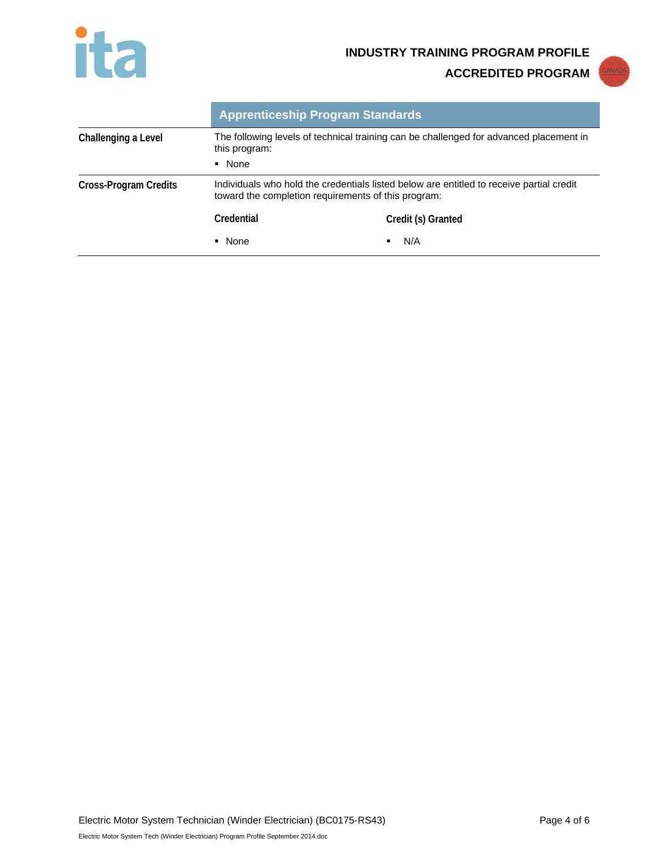

**ACCREDITED PROGRAM**



|                       | <b>Apprenticeship Program Standards</b>                                                                 |                                                                                          |
|-----------------------|---------------------------------------------------------------------------------------------------------|------------------------------------------------------------------------------------------|
| Challenging a Level   | The following levels of technical training can be challenged for advanced placement in<br>this program: |                                                                                          |
|                       | • None                                                                                                  |                                                                                          |
| Cross-Program Credits | toward the completion requirements of this program:                                                     | Individuals who hold the credentials listed below are entitled to receive partial credit |
|                       | Credential                                                                                              | Credit (s) Granted                                                                       |
|                       | • None                                                                                                  | N/A                                                                                      |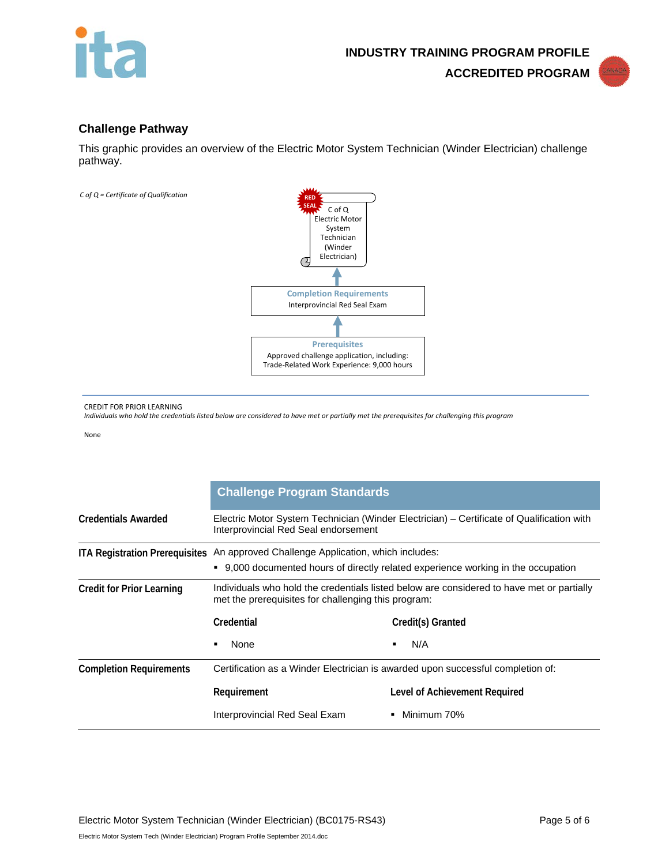



## **Challenge Pathway**

This graphic provides an overview of the Electric Motor System Technician (Winder Electrician) challenge pathway.



CREDIT FOR PRIOR LEARNING

*Individuals who hold the credentials listed below are considered to have met or partially met the prerequisites for challenging this program*

None

|                                  | <b>Challenge Program Standards</b>                                                                                                                                     |                               |
|----------------------------------|------------------------------------------------------------------------------------------------------------------------------------------------------------------------|-------------------------------|
| <b>Credentials Awarded</b>       | Electric Motor System Technician (Winder Electrician) – Certificate of Qualification with<br>Interprovincial Red Seal endorsement                                      |                               |
|                                  | ITA Registration Prerequisites An approved Challenge Application, which includes:<br>• 9,000 documented hours of directly related experience working in the occupation |                               |
| <b>Credit for Prior Learning</b> | Individuals who hold the credentials listed below are considered to have met or partially<br>met the prerequisites for challenging this program:                       |                               |
|                                  | Credential                                                                                                                                                             | Credit(s) Granted             |
|                                  | None                                                                                                                                                                   | N/A<br>٠                      |
| <b>Completion Requirements</b>   | Certification as a Winder Electrician is awarded upon successful completion of:                                                                                        |                               |
|                                  | Requirement                                                                                                                                                            | Level of Achievement Required |
|                                  | Interprovincial Red Seal Exam                                                                                                                                          | Minimum 70%                   |

Electric Motor System Tech (Winder Electrician) Program Profile September 2014.doc